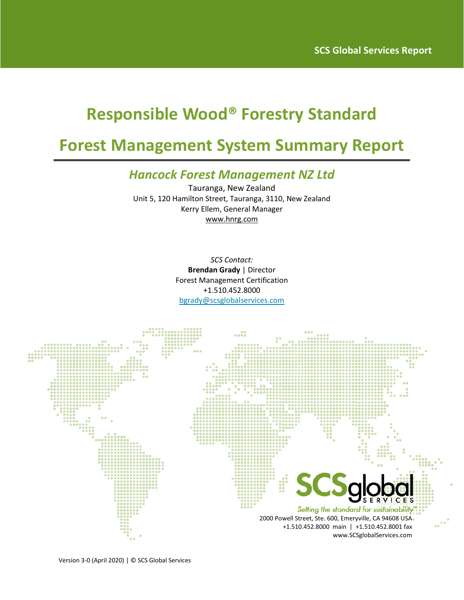# **Responsible Wood® Forestry Standard**

# **Forest Management System Summary Report**

## *Hancock Forest Management NZ Ltd*

Tauranga, New Zealand Unit 5, 120 Hamilton Street, Tauranga, 3110, New Zealand Kerry Ellem, General Manager www.hnrg.com

> *SCS Contact:* **Brendan Grady** | Director Forest Management Certification +1.510.452.8000 [bgrady@scsglobalservices.com](mailto:bgrady@scsglobalservices.com)

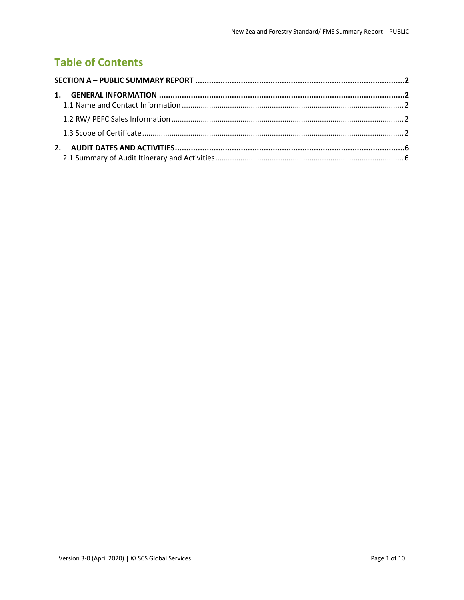## **Table of Contents**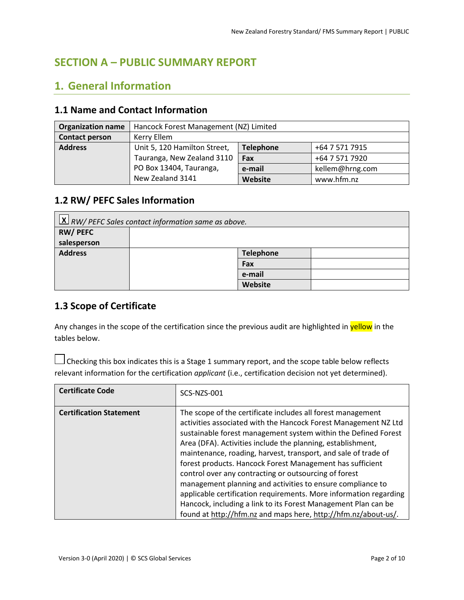### <span id="page-2-0"></span>**SECTION A – PUBLIC SUMMARY REPORT**

## <span id="page-2-1"></span>**1. General Information**

#### <span id="page-2-2"></span>**1.1 Name and Contact Information**

| <b>Organization name</b> | Hancock Forest Management (NZ) Limited |                  |                 |
|--------------------------|----------------------------------------|------------------|-----------------|
| <b>Contact person</b>    | Kerry Ellem                            |                  |                 |
| <b>Address</b>           | Unit 5, 120 Hamilton Street,           | <b>Telephone</b> | +64 7 571 7915  |
|                          | Tauranga, New Zealand 3110             | Fax              | +64 7 571 7920  |
|                          | PO Box 13404, Tauranga,                | e-mail           | kellem@hrng.com |
|                          | New Zealand 3141                       | Website          | www.hfm.nz      |

#### <span id="page-2-3"></span>**1.2 RW/ PEFC Sales Information**

| $\mathbf{X}$ RW/ PEFC Sales contact information same as above. |  |                  |  |
|----------------------------------------------------------------|--|------------------|--|
| <b>RW/PEFC</b>                                                 |  |                  |  |
| salesperson                                                    |  |                  |  |
| <b>Address</b>                                                 |  | <b>Telephone</b> |  |
|                                                                |  | Fax              |  |
|                                                                |  | e-mail           |  |
|                                                                |  | Website          |  |

#### <span id="page-2-4"></span>**1.3 Scope of Certificate**

Any changes in the scope of the certification since the previous audit are highlighted in yellow in the tables below.

 $\Box$  Checking this box indicates this is a Stage 1 summary report, and the scope table below reflects relevant information for the certification *applicant* (i.e., certification decision not yet determined).

| <b>Certificate Code</b>        | <b>SCS-NZS-001</b>                                                                                                                                                                                                                                                                                                                                                                                                                                                                                                                                                                                                                                                                                                             |
|--------------------------------|--------------------------------------------------------------------------------------------------------------------------------------------------------------------------------------------------------------------------------------------------------------------------------------------------------------------------------------------------------------------------------------------------------------------------------------------------------------------------------------------------------------------------------------------------------------------------------------------------------------------------------------------------------------------------------------------------------------------------------|
| <b>Certification Statement</b> | The scope of the certificate includes all forest management<br>activities associated with the Hancock Forest Management NZ Ltd<br>sustainable forest management system within the Defined Forest<br>Area (DFA). Activities include the planning, establishment,<br>maintenance, roading, harvest, transport, and sale of trade of<br>forest products. Hancock Forest Management has sufficient<br>control over any contracting or outsourcing of forest<br>management planning and activities to ensure compliance to<br>applicable certification requirements. More information regarding<br>Hancock, including a link to its Forest Management Plan can be<br>found at http://hfm.nz and maps here, http://hfm.nz/about-us/. |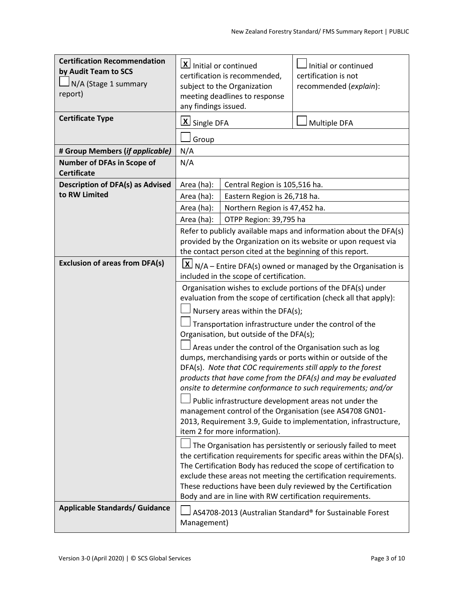| <b>Certification Recommendation</b><br>by Audit Team to SCS<br>N/A (Stage 1 summary<br>report)<br><b>Certificate Type</b> | $\vert \mathbf{X} \vert$ Initial or continued<br>certification is recommended.<br>subject to the Organization<br>meeting deadlines to response<br>any findings issued.<br>$\underline{\mathsf{X}}$ Single DFA                                                                                                                                                                                                                                                                                                                                                                                                                                                                                                                                                                                                                                                                                                                                                                                                                                                                                                                                                                    | Initial or continued<br>certification is not<br>recommended (explain):<br>Multiple DFA |  |
|---------------------------------------------------------------------------------------------------------------------------|----------------------------------------------------------------------------------------------------------------------------------------------------------------------------------------------------------------------------------------------------------------------------------------------------------------------------------------------------------------------------------------------------------------------------------------------------------------------------------------------------------------------------------------------------------------------------------------------------------------------------------------------------------------------------------------------------------------------------------------------------------------------------------------------------------------------------------------------------------------------------------------------------------------------------------------------------------------------------------------------------------------------------------------------------------------------------------------------------------------------------------------------------------------------------------|----------------------------------------------------------------------------------------|--|
|                                                                                                                           | Group                                                                                                                                                                                                                                                                                                                                                                                                                                                                                                                                                                                                                                                                                                                                                                                                                                                                                                                                                                                                                                                                                                                                                                            |                                                                                        |  |
| # Group Members (if applicable)<br>Number of DFAs in Scope of<br><b>Certificate</b>                                       | N/A<br>N/A                                                                                                                                                                                                                                                                                                                                                                                                                                                                                                                                                                                                                                                                                                                                                                                                                                                                                                                                                                                                                                                                                                                                                                       |                                                                                        |  |
| <b>Description of DFA(s) as Advised</b>                                                                                   | Area (ha):<br>Central Region is 105,516 ha.                                                                                                                                                                                                                                                                                                                                                                                                                                                                                                                                                                                                                                                                                                                                                                                                                                                                                                                                                                                                                                                                                                                                      |                                                                                        |  |
| to RW Limited                                                                                                             | Area (ha):<br>Eastern Region is 26,718 ha.                                                                                                                                                                                                                                                                                                                                                                                                                                                                                                                                                                                                                                                                                                                                                                                                                                                                                                                                                                                                                                                                                                                                       |                                                                                        |  |
|                                                                                                                           | Northern Region is 47,452 ha.<br>Area (ha):                                                                                                                                                                                                                                                                                                                                                                                                                                                                                                                                                                                                                                                                                                                                                                                                                                                                                                                                                                                                                                                                                                                                      |                                                                                        |  |
|                                                                                                                           | OTPP Region: 39,795 ha<br>Area (ha):                                                                                                                                                                                                                                                                                                                                                                                                                                                                                                                                                                                                                                                                                                                                                                                                                                                                                                                                                                                                                                                                                                                                             |                                                                                        |  |
|                                                                                                                           | provided by the Organization on its website or upon request via                                                                                                                                                                                                                                                                                                                                                                                                                                                                                                                                                                                                                                                                                                                                                                                                                                                                                                                                                                                                                                                                                                                  | Refer to publicly available maps and information about the DFA(s)                      |  |
|                                                                                                                           | the contact person cited at the beginning of this report.                                                                                                                                                                                                                                                                                                                                                                                                                                                                                                                                                                                                                                                                                                                                                                                                                                                                                                                                                                                                                                                                                                                        |                                                                                        |  |
| <b>Exclusion of areas from DFA(s)</b>                                                                                     | $\vert X \vert$ N/A – Entire DFA(s) owned or managed by the Organisation is<br>included in the scope of certification.                                                                                                                                                                                                                                                                                                                                                                                                                                                                                                                                                                                                                                                                                                                                                                                                                                                                                                                                                                                                                                                           |                                                                                        |  |
|                                                                                                                           | Organisation wishes to exclude portions of the DFA(s) under<br>evaluation from the scope of certification (check all that apply):<br>Nursery areas within the DFA(s);<br>Transportation infrastructure under the control of the<br>Organisation, but outside of the DFA(s);<br>Areas under the control of the Organisation such as log<br>dumps, merchandising yards or ports within or outside of the<br>DFA(s). Note that COC requirements still apply to the forest<br>products that have come from the DFA(s) and may be evaluated<br>onsite to determine conformance to such requirements; and/or<br>Public infrastructure development areas not under the<br>management control of the Organisation (see AS4708 GN01-<br>2013, Requirement 3.9, Guide to implementation, infrastructure,<br>item 2 for more information).<br>The Organisation has persistently or seriously failed to meet<br>the certification requirements for specific areas within the DFA(s).<br>The Certification Body has reduced the scope of certification to<br>exclude these areas not meeting the certification requirements.<br>These reductions have been duly reviewed by the Certification |                                                                                        |  |
| <b>Applicable Standards/ Guidance</b>                                                                                     | Management)                                                                                                                                                                                                                                                                                                                                                                                                                                                                                                                                                                                                                                                                                                                                                                                                                                                                                                                                                                                                                                                                                                                                                                      | AS4708-2013 (Australian Standard® for Sustainable Forest                               |  |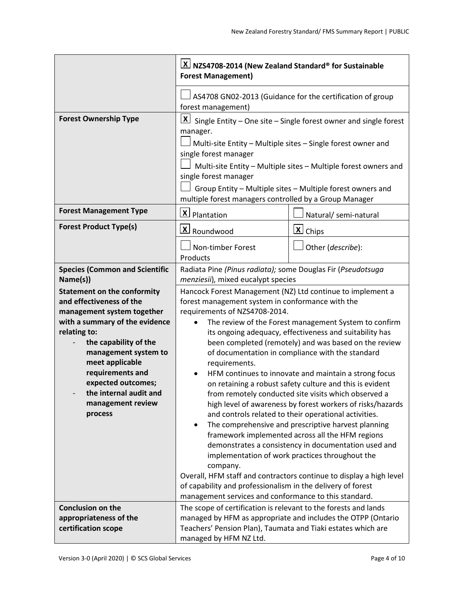|                                                                                                                                                                                                                                                                                                                        | $\lfloor$ X $\rfloor$ NZS4708-2014 (New Zealand Standard® for Sustainable<br><b>Forest Management)</b>                                                                                                                                                                                                                                                                                                                                                                                                                                                                                                                                                                                                                                                                                                                                                                                                                                                                                                                                                                                                                                                                             |                                                           |  |
|------------------------------------------------------------------------------------------------------------------------------------------------------------------------------------------------------------------------------------------------------------------------------------------------------------------------|------------------------------------------------------------------------------------------------------------------------------------------------------------------------------------------------------------------------------------------------------------------------------------------------------------------------------------------------------------------------------------------------------------------------------------------------------------------------------------------------------------------------------------------------------------------------------------------------------------------------------------------------------------------------------------------------------------------------------------------------------------------------------------------------------------------------------------------------------------------------------------------------------------------------------------------------------------------------------------------------------------------------------------------------------------------------------------------------------------------------------------------------------------------------------------|-----------------------------------------------------------|--|
|                                                                                                                                                                                                                                                                                                                        | forest management)                                                                                                                                                                                                                                                                                                                                                                                                                                                                                                                                                                                                                                                                                                                                                                                                                                                                                                                                                                                                                                                                                                                                                                 | AS4708 GN02-2013 (Guidance for the certification of group |  |
| <b>Forest Ownership Type</b>                                                                                                                                                                                                                                                                                           | $\mathbf{X}$<br>Single Entity - One site - Single forest owner and single forest<br>manager.<br>Multi-site Entity - Multiple sites - Single forest owner and<br>single forest manager<br>Multi-site Entity - Multiple sites - Multiple forest owners and<br>single forest manager<br>Group Entity - Multiple sites - Multiple forest owners and<br>multiple forest managers controlled by a Group Manager                                                                                                                                                                                                                                                                                                                                                                                                                                                                                                                                                                                                                                                                                                                                                                          |                                                           |  |
| <b>Forest Management Type</b>                                                                                                                                                                                                                                                                                          | X Plantation                                                                                                                                                                                                                                                                                                                                                                                                                                                                                                                                                                                                                                                                                                                                                                                                                                                                                                                                                                                                                                                                                                                                                                       | Natural/ semi-natural                                     |  |
| <b>Forest Product Type(s)</b>                                                                                                                                                                                                                                                                                          | X Roundwood                                                                                                                                                                                                                                                                                                                                                                                                                                                                                                                                                                                                                                                                                                                                                                                                                                                                                                                                                                                                                                                                                                                                                                        | $\underline{\mathsf{x}}$ Chips                            |  |
|                                                                                                                                                                                                                                                                                                                        | Non-timber Forest<br>Products                                                                                                                                                                                                                                                                                                                                                                                                                                                                                                                                                                                                                                                                                                                                                                                                                                                                                                                                                                                                                                                                                                                                                      | Other (describe):                                         |  |
| <b>Species (Common and Scientific</b><br>Name(s))                                                                                                                                                                                                                                                                      |                                                                                                                                                                                                                                                                                                                                                                                                                                                                                                                                                                                                                                                                                                                                                                                                                                                                                                                                                                                                                                                                                                                                                                                    |                                                           |  |
| <b>Statement on the conformity</b><br>and effectiveness of the<br>management system together<br>with a summary of the evidence<br>relating to:<br>the capability of the<br>management system to<br>meet applicable<br>requirements and<br>expected outcomes;<br>the internal audit and<br>management review<br>process | Radiata Pine (Pinus radiata); some Douglas Fir (Pseudotsuga<br>menziesii), mixed eucalypt species<br>Hancock Forest Management (NZ) Ltd continue to implement a<br>forest management system in conformance with the<br>requirements of NZS4708-2014.<br>The review of the Forest management System to confirm<br>its ongoing adequacy, effectiveness and suitability has<br>been completed (remotely) and was based on the review<br>of documentation in compliance with the standard<br>requirements.<br>HFM continues to innovate and maintain a strong focus<br>on retaining a robust safety culture and this is evident<br>from remotely conducted site visits which observed a<br>high level of awareness by forest workers of risks/hazards<br>and controls related to their operational activities.<br>The comprehensive and prescriptive harvest planning<br>framework implemented across all the HFM regions<br>demonstrates a consistency in documentation used and<br>implementation of work practices throughout the<br>company.<br>Overall, HFM staff and contractors continue to display a high level<br>of capability and professionalism in the delivery of forest |                                                           |  |
| <b>Conclusion on the</b><br>appropriateness of the<br>certification scope                                                                                                                                                                                                                                              | The scope of certification is relevant to the forests and lands<br>managed by HFM as appropriate and includes the OTPP (Ontario<br>Teachers' Pension Plan), Taumata and Tiaki estates which are<br>managed by HFM NZ Ltd.                                                                                                                                                                                                                                                                                                                                                                                                                                                                                                                                                                                                                                                                                                                                                                                                                                                                                                                                                          |                                                           |  |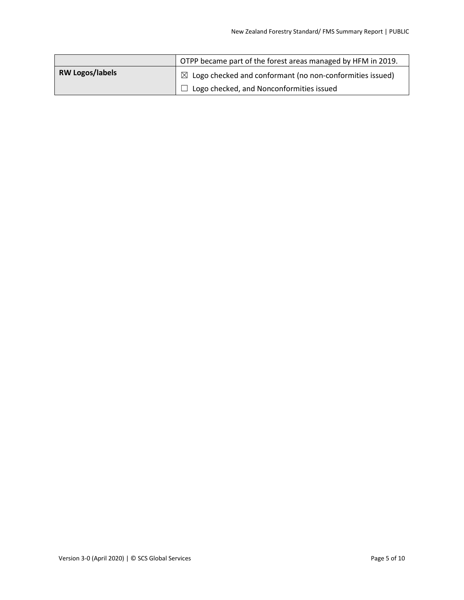|                        | OTPP became part of the forest areas managed by HFM in 2019.         |
|------------------------|----------------------------------------------------------------------|
| <b>RW Logos/labels</b> | $\boxtimes$ Logo checked and conformant (no non-conformities issued) |
|                        | $\Box$ Logo checked, and Nonconformities issued                      |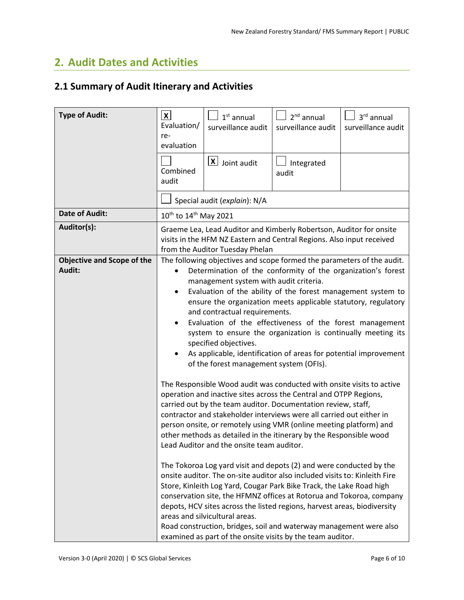## <span id="page-6-0"></span>**2. Audit Dates and Activities**

## <span id="page-6-1"></span>**2.1 Summary of Audit Itinerary and Activities**

| <b>Type of Audit:</b>             | $\vert x \vert$<br>Evaluation/<br>re-<br>evaluation                                                                                                                                                                                                                                                                                                                                                                                                                                                                                                                                                                                                                                                                                                                                                                                                                                                                                                                                                                                 | $1st$ annual<br>surveillance audit                                     | $2nd$ annual<br>surveillance audit | 3rd annual<br>surveillance audit |
|-----------------------------------|-------------------------------------------------------------------------------------------------------------------------------------------------------------------------------------------------------------------------------------------------------------------------------------------------------------------------------------------------------------------------------------------------------------------------------------------------------------------------------------------------------------------------------------------------------------------------------------------------------------------------------------------------------------------------------------------------------------------------------------------------------------------------------------------------------------------------------------------------------------------------------------------------------------------------------------------------------------------------------------------------------------------------------------|------------------------------------------------------------------------|------------------------------------|----------------------------------|
|                                   | Combined<br>audit                                                                                                                                                                                                                                                                                                                                                                                                                                                                                                                                                                                                                                                                                                                                                                                                                                                                                                                                                                                                                   | $X$ Joint audit                                                        | Integrated<br>audit                |                                  |
|                                   |                                                                                                                                                                                                                                                                                                                                                                                                                                                                                                                                                                                                                                                                                                                                                                                                                                                                                                                                                                                                                                     | Special audit (explain): N/A                                           |                                    |                                  |
| <b>Date of Audit:</b>             | 10 <sup>th</sup> to 14 <sup>th</sup> May 2021                                                                                                                                                                                                                                                                                                                                                                                                                                                                                                                                                                                                                                                                                                                                                                                                                                                                                                                                                                                       |                                                                        |                                    |                                  |
| Auditor(s):                       | Graeme Lea, Lead Auditor and Kimberly Robertson, Auditor for onsite<br>visits in the HFM NZ Eastern and Central Regions. Also input received<br>from the Auditor Tuesday Phelan                                                                                                                                                                                                                                                                                                                                                                                                                                                                                                                                                                                                                                                                                                                                                                                                                                                     |                                                                        |                                    |                                  |
| <b>Objective and Scope of the</b> |                                                                                                                                                                                                                                                                                                                                                                                                                                                                                                                                                                                                                                                                                                                                                                                                                                                                                                                                                                                                                                     | The following objectives and scope formed the parameters of the audit. |                                    |                                  |
| Audit:                            |                                                                                                                                                                                                                                                                                                                                                                                                                                                                                                                                                                                                                                                                                                                                                                                                                                                                                                                                                                                                                                     | Determination of the conformity of the organization's forest           |                                    |                                  |
|                                   | management system with audit criteria.<br>Evaluation of the ability of the forest management system to<br>٠<br>ensure the organization meets applicable statutory, regulatory<br>and contractual requirements.<br>Evaluation of the effectiveness of the forest management<br>system to ensure the organization is continually meeting its<br>specified objectives.<br>As applicable, identification of areas for potential improvement<br>of the forest management system (OFIs).                                                                                                                                                                                                                                                                                                                                                                                                                                                                                                                                                  |                                                                        |                                    |                                  |
|                                   | The Responsible Wood audit was conducted with onsite visits to active<br>operation and inactive sites across the Central and OTPP Regions,<br>carried out by the team auditor. Documentation review, staff,<br>contractor and stakeholder interviews were all carried out either in<br>person onsite, or remotely using VMR (online meeting platform) and<br>other methods as detailed in the itinerary by the Responsible wood<br>Lead Auditor and the onsite team auditor.<br>The Tokoroa Log yard visit and depots (2) and were conducted by the<br>onsite auditor. The on-site auditor also included visits to: Kinleith Fire<br>Store, Kinleith Log Yard, Cougar Park Bike Track, the Lake Road high<br>conservation site, the HFMNZ offices at Rotorua and Tokoroa, company<br>depots, HCV sites across the listed regions, harvest areas, biodiversity<br>areas and silvicultural areas.<br>Road construction, bridges, soil and waterway management were also<br>examined as part of the onsite visits by the team auditor. |                                                                        |                                    |                                  |
|                                   |                                                                                                                                                                                                                                                                                                                                                                                                                                                                                                                                                                                                                                                                                                                                                                                                                                                                                                                                                                                                                                     |                                                                        |                                    |                                  |